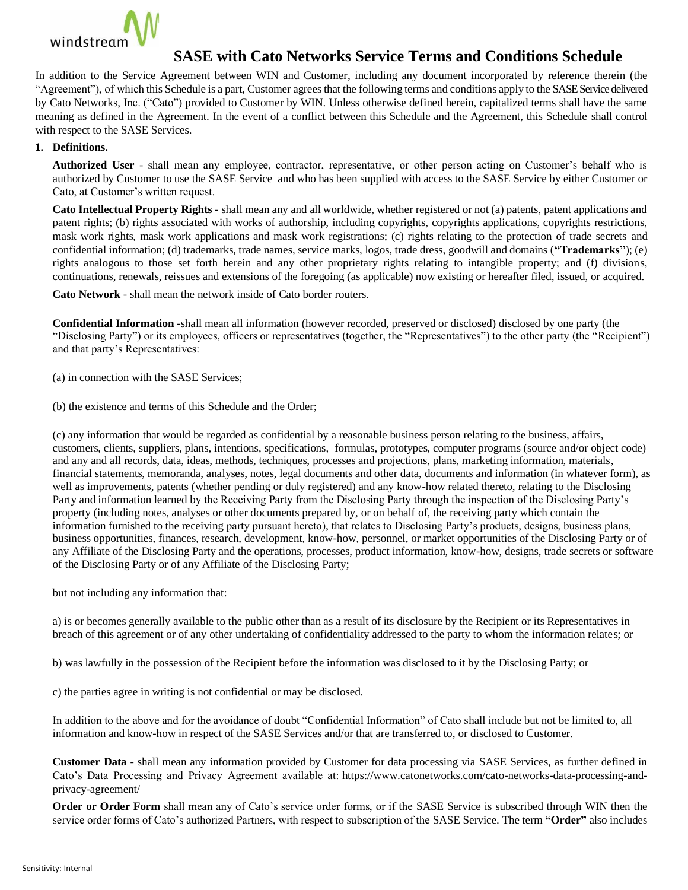

## **SASE with Cato Networks Service Terms and Conditions Schedule**

In addition to the Service Agreement between WIN and Customer, including any document incorporated by reference therein (the "Agreement"), of which this Schedule is a part, Customer agrees that the following terms and conditions apply to the SASE Service delivered by Cato Networks, Inc. ("Cato") provided to Customer by WIN. Unless otherwise defined herein, capitalized terms shall have the same meaning as defined in the Agreement. In the event of a conflict between this Schedule and the Agreement, this Schedule shall control with respect to the SASE Services.

## **1. Definitions.**

**Authorized User** - shall mean any employee, contractor, representative, or other person acting on Customer's behalf who is authorized by Customer to use the SASE Service and who has been supplied with access to the SASE Service by either Customer or Cato, at Customer's written request.

**Cato Intellectual Property Rights** - shall mean any and all worldwide, whether registered or not (a) patents, patent applications and patent rights; (b) rights associated with works of authorship, including copyrights, copyrights applications, copyrights restrictions, mask work rights, mask work applications and mask work registrations; (c) rights relating to the protection of trade secrets and confidential information; (d) trademarks, trade names, service marks, logos, trade dress, goodwill and domains (**"Trademarks"**); (e) rights analogous to those set forth herein and any other proprietary rights relating to intangible property; and (f) divisions, continuations, renewals, reissues and extensions of the foregoing (as applicable) now existing or hereafter filed, issued, or acquired.

**Cato Network** - shall mean the network inside of Cato border routers.

**Confidential Information** -shall mean all information (however recorded, preserved or disclosed) disclosed by one party (the "Disclosing Party") or its employees, officers or representatives (together, the "Representatives") to the other party (the "Recipient") and that party's Representatives:

(a) in connection with the SASE Services;

(b) the existence and terms of this Schedule and the Order;

(c) any information that would be regarded as confidential by a reasonable business person relating to the business, affairs, customers, clients, suppliers, plans, intentions, specifications, formulas, prototypes, computer programs (source and/or object code) and any and all records, data, ideas, methods, techniques, processes and projections, plans, marketing information, materials, financial statements, memoranda, analyses, notes, legal documents and other data, documents and information (in whatever form), as well as improvements, patents (whether pending or duly registered) and any know-how related thereto, relating to the Disclosing Party and information learned by the Receiving Party from the Disclosing Party through the inspection of the Disclosing Party's property (including notes, analyses or other documents prepared by, or on behalf of, the receiving party which contain the information furnished to the receiving party pursuant hereto), that relates to Disclosing Party's products, designs, business plans, business opportunities, finances, research, development, know-how, personnel, or market opportunities of the Disclosing Party or of any Affiliate of the Disclosing Party and the operations, processes, product information, know-how, designs, trade secrets or software of the Disclosing Party or of any Affiliate of the Disclosing Party;

but not including any information that:

a) is or becomes generally available to the public other than as a result of its disclosure by the Recipient or its Representatives in breach of this agreement or of any other undertaking of confidentiality addressed to the party to whom the information relates; or

b) was lawfully in the possession of the Recipient before the information was disclosed to it by the Disclosing Party; or

c) the parties agree in writing is not confidential or may be disclosed.

In addition to the above and for the avoidance of doubt "Confidential Information" of Cato shall include but not be limited to, all information and know-how in respect of the SASE Services and/or that are transferred to, or disclosed to Customer.

**Customer Data** - shall mean any information provided by Customer for data processing via SASE Services, as further defined in Cato's Data Processing and Privacy Agreement available at: [https://www.catonetworks.com/cato-networks-data-processing-and](https://www.catonetworks.com/cato-networks-data-processing-and-privacy-agreement/)[privacy-agreement/](https://www.catonetworks.com/cato-networks-data-processing-and-privacy-agreement/)

**Order or Order Form** shall mean any of Cato's service order forms, or if the SASE Service is subscribed through WIN then the service order forms of Cato's authorized Partners, with respect to subscription of the SASE Service. The term **"Order"** also includes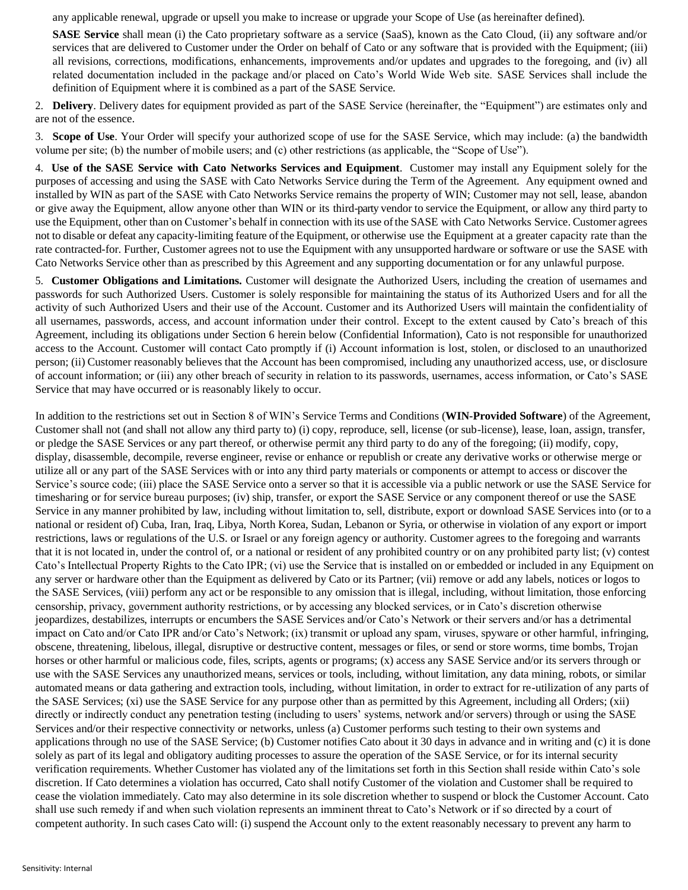any applicable renewal, upgrade or upsell you make to increase or upgrade your Scope of Use (as hereinafter defined).

**SASE Service** shall mean (i) the Cato proprietary software as a service (SaaS), known as the Cato Cloud, (ii) any software and/or services that are delivered to Customer under the Order on behalf of Cato or any software that is provided with the Equipment; (iii) all revisions, corrections, modifications, enhancements, improvements and/or updates and upgrades to the foregoing, and (iv) all related documentation included in the package and/or placed on Cato's World Wide Web site. SASE Services shall include the definition of Equipment where it is combined as a part of the SASE Service.

2. **Delivery**. Delivery dates for equipment provided as part of the SASE Service (hereinafter, the "Equipment") are estimates only and are not of the essence.

3. **Scope of Use**. Your Order will specify your authorized scope of use for the SASE Service, which may include: (a) the bandwidth volume per site; (b) the number of mobile users; and (c) other restrictions (as applicable, the "Scope of Use").

4. **Use of the SASE Service with Cato Networks Services and Equipment**. Customer may install any Equipment solely for the purposes of accessing and using the SASE with Cato Networks Service during the Term of the Agreement. Any equipment owned and installed by WIN as part of the SASE with Cato Networks Service remains the property of WIN; Customer may not sell, lease, abandon or give away the Equipment, allow anyone other than WIN or its third-party vendor to service the Equipment, or allow any third party to use the Equipment, other than on Customer's behalf in connection with its use ofthe SASE with Cato Networks Service. Customer agrees not to disable or defeat any capacity-limiting feature of the Equipment, or otherwise use the Equipment at a greater capacity rate than the rate contracted-for. Further, Customer agrees not to use the Equipment with any unsupported hardware or software or use the SASE with Cato Networks Service other than as prescribed by this Agreement and any supporting documentation or for any unlawful purpose.

5. **Customer Obligations and Limitations.** Customer will designate the Authorized Users, including the creation of usernames and passwords for such Authorized Users. Customer is solely responsible for maintaining the status of its Authorized Users and for all the activity of such Authorized Users and their use of the Account. Customer and its Authorized Users will maintain the confidentiality of all usernames, passwords, access, and account information under their control. Except to the extent caused by Cato's breach of this Agreement, including its obligations under Section 6 herein below (Confidential Information), Cato is not responsible for unauthorized access to the Account. Customer will contact Cato promptly if (i) Account information is lost, stolen, or disclosed to an unauthorized person; (ii) Customer reasonably believes that the Account has been compromised, including any unauthorized access, use, or disclosure of account information; or (iii) any other breach of security in relation to its passwords, usernames, access information, or Cato's SASE Service that may have occurred or is reasonably likely to occur.

In addition to the restrictions set out in Section 8 of WIN's Service Terms and Conditions (**WIN-Provided Software**) of the Agreement, Customer shall not (and shall not allow any third party to) (i) copy, reproduce, sell, license (or sub-license), lease, loan, assign, transfer, or pledge the SASE Services or any part thereof, or otherwise permit any third party to do any of the foregoing; (ii) modify, copy, display, disassemble, decompile, reverse engineer, revise or enhance or republish or create any derivative works or otherwise merge or utilize all or any part of the SASE Services with or into any third party materials or components or attempt to access or discover the Service's source code; (iii) place the SASE Service onto a server so that it is accessible via a public network or use the SASE Service for timesharing or for service bureau purposes; (iv) ship, transfer, or export the SASE Service or any component thereof or use the SASE Service in any manner prohibited by law, including without limitation to, sell, distribute, export or download SASE Services into (or to a national or resident of) Cuba, Iran, Iraq, Libya, North Korea, Sudan, Lebanon or Syria, or otherwise in violation of any export or import restrictions, laws or regulations of the U.S. or Israel or any foreign agency or authority. Customer agrees to the foregoing and warrants that it is not located in, under the control of, or a national or resident of any prohibited country or on any prohibited party list; (v) contest Cato's Intellectual Property Rights to the Cato IPR; (vi) use the Service that is installed on or embedded or included in any Equipment on any server or hardware other than the Equipment as delivered by Cato or its Partner; (vii) remove or add any labels, notices or logos to the SASE Services, (viii) perform any act or be responsible to any omission that is illegal, including, without limitation, those enforcing censorship, privacy, government authority restrictions, or by accessing any blocked services, or in Cato's discretion otherwise jeopardizes, destabilizes, interrupts or encumbers the SASE Services and/or Cato's Network or their servers and/or has a detrimental impact on Cato and/or Cato IPR and/or Cato's Network; (ix) transmit or upload any spam, viruses, spyware or other harmful, infringing, obscene, threatening, libelous, illegal, disruptive or destructive content, messages or files, or send or store worms, time bombs, Trojan horses or other harmful or malicious code, files, scripts, agents or programs; (x) access any SASE Service and/or its servers through or use with the SASE Services any unauthorized means, services or tools, including, without limitation, any data mining, robots, or similar automated means or data gathering and extraction tools, including, without limitation, in order to extract for re-utilization of any parts of the SASE Services; (xi) use the SASE Service for any purpose other than as permitted by this Agreement, including all Orders; (xii) directly or indirectly conduct any penetration testing (including to users' systems, network and/or servers) through or using the SASE Services and/or their respective connectivity or networks, unless (a) Customer performs such testing to their own systems and applications through no use of the SASE Service; (b) Customer notifies Cato about it 30 days in advance and in writing and (c) it is done solely as part of its legal and obligatory auditing processes to assure the operation of the SASE Service, or for its internal security verification requirements. Whether Customer has violated any of the limitations set forth in this Section shall reside within Cato's sole discretion. If Cato determines a violation has occurred, Cato shall notify Customer of the violation and Customer shall be required to cease the violation immediately. Cato may also determine in its sole discretion whether to suspend or block the Customer Account. Cato shall use such remedy if and when such violation represents an imminent threat to Cato's Network or if so directed by a court of competent authority. In such cases Cato will: (i) suspend the Account only to the extent reasonably necessary to prevent any harm to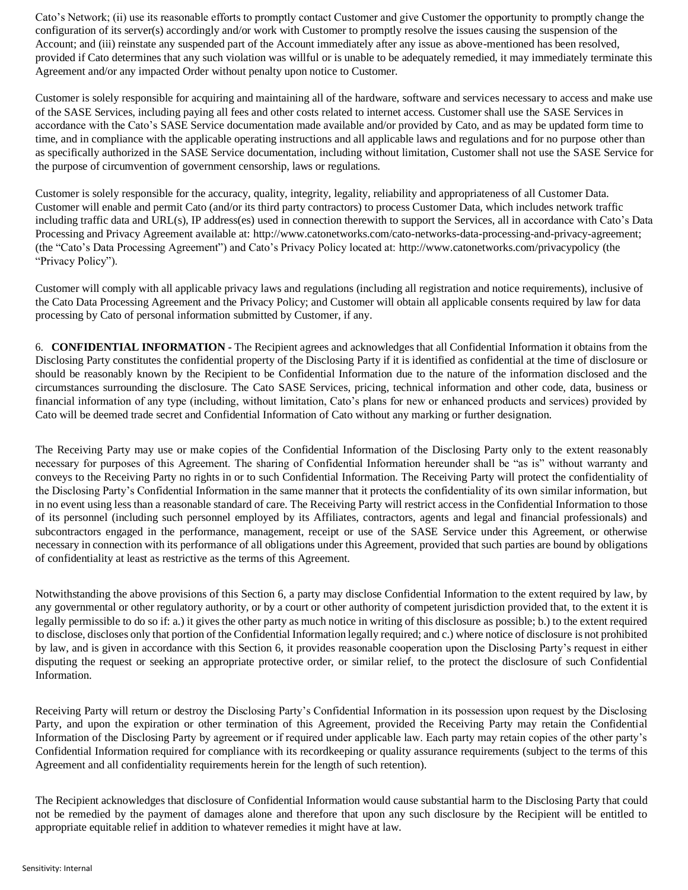Cato's Network; (ii) use its reasonable efforts to promptly contact Customer and give Customer the opportunity to promptly change the configuration of its server(s) accordingly and/or work with Customer to promptly resolve the issues causing the suspension of the Account; and (iii) reinstate any suspended part of the Account immediately after any issue as above-mentioned has been resolved, provided if Cato determines that any such violation was willful or is unable to be adequately remedied, it may immediately terminate this Agreement and/or any impacted Order without penalty upon notice to Customer.

Customer is solely responsible for acquiring and maintaining all of the hardware, software and services necessary to access and make use of the SASE Services, including paying all fees and other costs related to internet access. Customer shall use the SASE Services in accordance with the Cato's SASE Service documentation made available and/or provided by Cato, and as may be updated form time to time, and in compliance with the applicable operating instructions and all applicable laws and regulations and for no purpose other than as specifically authorized in the SASE Service documentation, including without limitation, Customer shall not use the SASE Service for the purpose of circumvention of government censorship, laws or regulations.

Customer is solely responsible for the accuracy, quality, integrity, legality, reliability and appropriateness of all Customer Data. Customer will enable and permit Cato (and/or its third party contractors) to process Customer Data, which includes network traffic including traffic data and URL(s), IP address(es) used in connection therewith to support the Services, all in accordance with Cato's Data Processing and Privacy Agreement available at: [http://www.catonetworks.com/cato-networks-data-processing-and-privacy-agreement;](http://www.catonetworks.com/cato-networks-data-processing-and-privacy-agreement) (the "Cato's Data Processing Agreement") and Cato's Privacy Policy located at:<http://www.catonetworks.com/privacypolicy> (the "Privacy Policy").

Customer will comply with all applicable privacy laws and regulations (including all registration and notice requirements), inclusive of the Cato Data Processing Agreement and the Privacy Policy; and Customer will obtain all applicable consents required by law for data processing by Cato of personal information submitted by Customer, if any.

6. **CONFIDENTIAL INFORMATION -** The Recipient agrees and acknowledges that all Confidential Information it obtains from the Disclosing Party constitutes the confidential property of the Disclosing Party if it is identified as confidential at the time of disclosure or should be reasonably known by the Recipient to be Confidential Information due to the nature of the information disclosed and the circumstances surrounding the disclosure. The Cato SASE Services, pricing, technical information and other code, data, business or financial information of any type (including, without limitation, Cato's plans for new or enhanced products and services) provided by Cato will be deemed trade secret and Confidential Information of Cato without any marking or further designation.

The Receiving Party may use or make copies of the Confidential Information of the Disclosing Party only to the extent reasonably necessary for purposes of this Agreement. The sharing of Confidential Information hereunder shall be "as is" without warranty and conveys to the Receiving Party no rights in or to such Confidential Information. The Receiving Party will protect the confidentiality of the Disclosing Party's Confidential Information in the same manner that it protects the confidentiality of its own similar information, but in no event using less than a reasonable standard of care. The Receiving Party will restrict access in the Confidential Information to those of its personnel (including such personnel employed by its Affiliates, contractors, agents and legal and financial professionals) and subcontractors engaged in the performance, management, receipt or use of the SASE Service under this Agreement, or otherwise necessary in connection with its performance of all obligations under this Agreement, provided that such parties are bound by obligations of confidentiality at least as restrictive as the terms of this Agreement.

Notwithstanding the above provisions of this Section 6, a party may disclose Confidential Information to the extent required by law, by any governmental or other regulatory authority, or by a court or other authority of competent jurisdiction provided that, to the extent it is legally permissible to do so if: a.) it gives the other party as much notice in writing of this disclosure as possible; b.) to the extent required to disclose, discloses only that portion of the Confidential Information legally required; and c.) where notice of disclosure is not prohibited by law, and is given in accordance with this Section 6, it provides reasonable cooperation upon the Disclosing Party's request in either disputing the request or seeking an appropriate protective order, or similar relief, to the protect the disclosure of such Confidential Information.

Receiving Party will return or destroy the Disclosing Party's Confidential Information in its possession upon request by the Disclosing Party, and upon the expiration or other termination of this Agreement, provided the Receiving Party may retain the Confidential Information of the Disclosing Party by agreement or if required under applicable law. Each party may retain copies of the other party's Confidential Information required for compliance with its recordkeeping or quality assurance requirements (subject to the terms of this Agreement and all confidentiality requirements herein for the length of such retention).

The Recipient acknowledges that disclosure of Confidential Information would cause substantial harm to the Disclosing Party that could not be remedied by the payment of damages alone and therefore that upon any such disclosure by the Recipient will be entitled to appropriate equitable relief in addition to whatever remedies it might have at law.